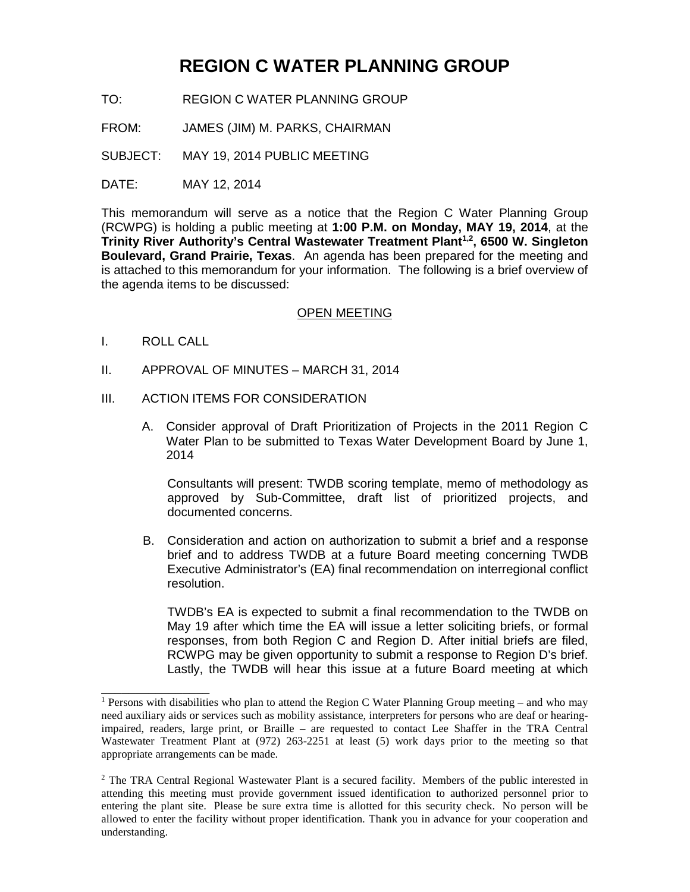# **REGION C WATER PLANNING GROUP**

- TO: REGION C WATER PLANNING GROUP
- FROM: JAMES (JIM) M. PARKS, CHAIRMAN
- SUBJECT: MAY 19, 2014 PUBLIC MEETING
- DATE: MAY 12, 2014

This memorandum will serve as a notice that the Region C Water Planning Group (RCWPG) is holding a public meeting at **1:00 P.M. on Monday, MAY 19, 2014**, at the **Trinity River Authority's Central Wastewater Treatment Plant 1,2, 6500 W. Singleton Boulevard, Grand Prairie, Texas**. An agenda has been prepared for the meeting and is attached to this memorandum for your information. The following is a brief overview of the agenda items to be discussed:

#### OPEN MEETING

I. ROLL CALL

\_\_\_\_\_\_\_\_\_\_\_\_\_\_\_\_

- II. APPROVAL OF MINUTES MARCH 31, 2014
- III. ACTION ITEMS FOR CONSIDERATION
	- A. Consider approval of Draft Prioritization of Projects in the 2011 Region C Water Plan to be submitted to Texas Water Development Board by June 1, 2014

Consultants will present: TWDB scoring template, memo of methodology as approved by Sub-Committee, draft list of prioritized projects, and documented concerns.

B. Consideration and action on authorization to submit a brief and a response brief and to address TWDB at a future Board meeting concerning TWDB Executive Administrator's (EA) final recommendation on interregional conflict resolution.

TWDB's EA is expected to submit a final recommendation to the TWDB on May 19 after which time the EA will issue a letter soliciting briefs, or formal responses, from both Region C and Region D. After initial briefs are filed, RCWPG may be given opportunity to submit a response to Region D's brief. Lastly, the TWDB will hear this issue at a future Board meeting at which

<sup>&</sup>lt;sup>1</sup> Persons with disabilities who plan to attend the Region C Water Planning Group meeting – and who may need auxiliary aids or services such as mobility assistance, interpreters for persons who are deaf or hearingimpaired, readers, large print, or Braille – are requested to contact Lee Shaffer in the TRA Central Wastewater Treatment Plant at (972) 263-2251 at least (5) work days prior to the meeting so that appropriate arrangements can be made.

<sup>&</sup>lt;sup>2</sup> The TRA Central Regional Wastewater Plant is a secured facility. Members of the public interested in attending this meeting must provide government issued identification to authorized personnel prior to entering the plant site. Please be sure extra time is allotted for this security check. No person will be allowed to enter the facility without proper identification. Thank you in advance for your cooperation and understanding.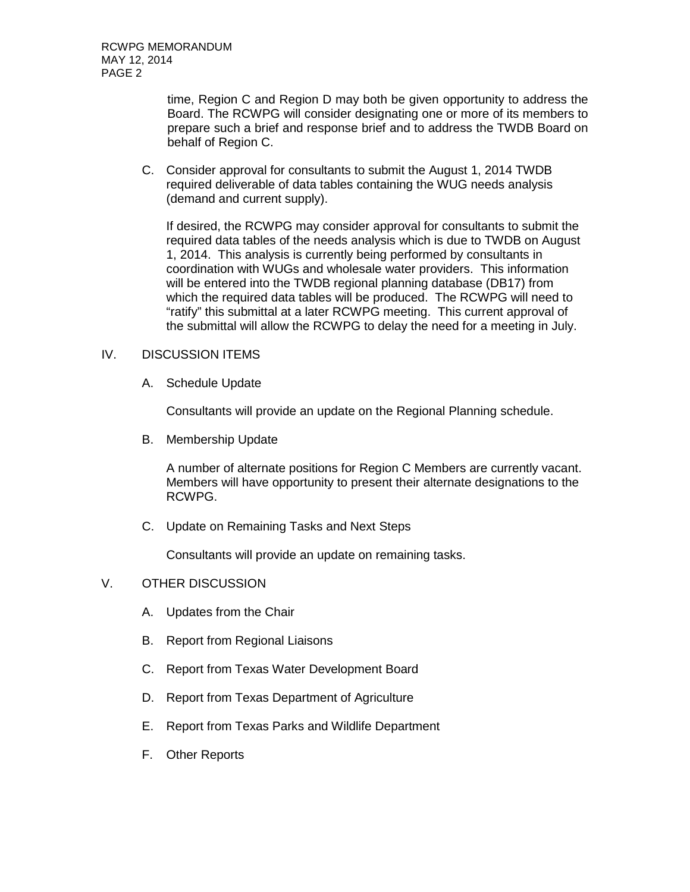time, Region C and Region D may both be given opportunity to address the Board. The RCWPG will consider designating one or more of its members to prepare such a brief and response brief and to address the TWDB Board on behalf of Region C.

C. Consider approval for consultants to submit the August 1, 2014 TWDB required deliverable of data tables containing the WUG needs analysis (demand and current supply).

If desired, the RCWPG may consider approval for consultants to submit the required data tables of the needs analysis which is due to TWDB on August 1, 2014. This analysis is currently being performed by consultants in coordination with WUGs and wholesale water providers. This information will be entered into the TWDB regional planning database (DB17) from which the required data tables will be produced. The RCWPG will need to "ratify" this submittal at a later RCWPG meeting. This current approval of the submittal will allow the RCWPG to delay the need for a meeting in July.

## IV. DISCUSSION ITEMS

A. Schedule Update

Consultants will provide an update on the Regional Planning schedule.

B. Membership Update

A number of alternate positions for Region C Members are currently vacant. Members will have opportunity to present their alternate designations to the RCWPG.

C. Update on Remaining Tasks and Next Steps

Consultants will provide an update on remaining tasks.

## V. OTHER DISCUSSION

- A. Updates from the Chair
- B. Report from Regional Liaisons
- C. Report from Texas Water Development Board
- D. Report from Texas Department of Agriculture
- E. Report from Texas Parks and Wildlife Department
- F. Other Reports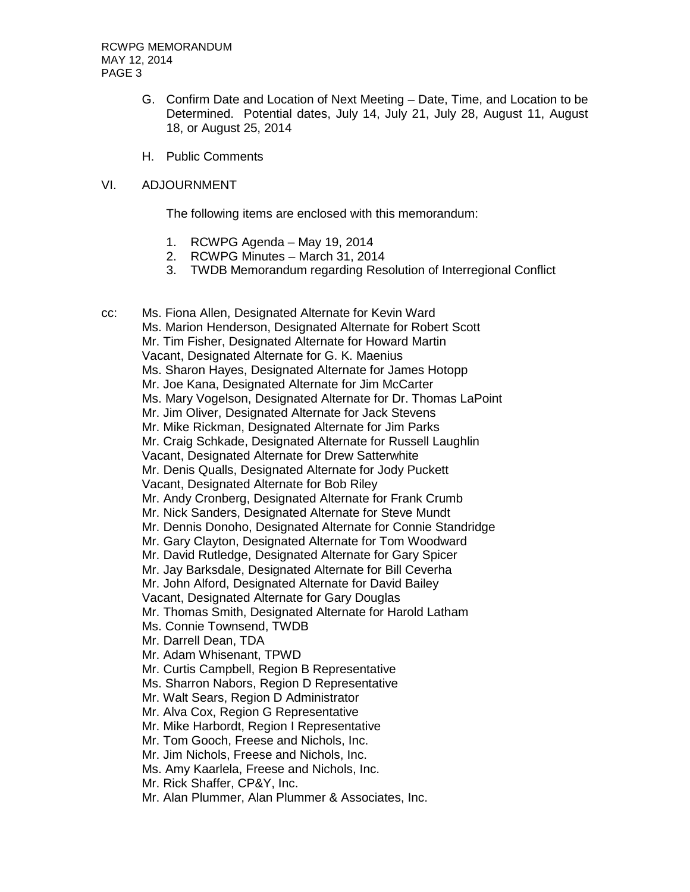- G. Confirm Date and Location of Next Meeting Date, Time, and Location to be Determined. Potential dates, July 14, July 21, July 28, August 11, August 18, or August 25, 2014
- H. Public Comments

#### VI. ADJOURNMENT

The following items are enclosed with this memorandum:

- 1. RCWPG Agenda May 19, 2014
- 2. RCWPG Minutes March 31, 2014
- 3. TWDB Memorandum regarding Resolution of Interregional Conflict

cc: Ms. Fiona Allen, Designated Alternate for Kevin Ward Ms. Marion Henderson, Designated Alternate for Robert Scott Mr. Tim Fisher, Designated Alternate for Howard Martin Vacant, Designated Alternate for G. K. Maenius Ms. Sharon Hayes, Designated Alternate for James Hotopp Mr. Joe Kana, Designated Alternate for Jim McCarter Ms. Mary Vogelson, Designated Alternate for Dr. Thomas LaPoint Mr. Jim Oliver, Designated Alternate for Jack Stevens Mr. Mike Rickman, Designated Alternate for Jim Parks Mr. Craig Schkade, Designated Alternate for Russell Laughlin Vacant, Designated Alternate for Drew Satterwhite Mr. Denis Qualls, Designated Alternate for Jody Puckett Vacant, Designated Alternate for Bob Riley Mr. Andy Cronberg, Designated Alternate for Frank Crumb Mr. Nick Sanders, Designated Alternate for Steve Mundt Mr. Dennis Donoho, Designated Alternate for Connie Standridge Mr. Gary Clayton, Designated Alternate for Tom Woodward Mr. David Rutledge, Designated Alternate for Gary Spicer Mr. Jay Barksdale, Designated Alternate for Bill Ceverha Mr. John Alford, Designated Alternate for David Bailey Vacant, Designated Alternate for Gary Douglas Mr. Thomas Smith, Designated Alternate for Harold Latham Ms. Connie Townsend, TWDB Mr. Darrell Dean, TDA Mr. Adam Whisenant, TPWD Mr. Curtis Campbell, Region B Representative Ms. Sharron Nabors, Region D Representative Mr. Walt Sears, Region D Administrator Mr. Alva Cox, Region G Representative Mr. Mike Harbordt, Region I Representative Mr. Tom Gooch, Freese and Nichols, Inc. Mr. Jim Nichols, Freese and Nichols, Inc. Ms. Amy Kaarlela, Freese and Nichols, Inc. Mr. Rick Shaffer, CP&Y, Inc. Mr. Alan Plummer, Alan Plummer & Associates, Inc.